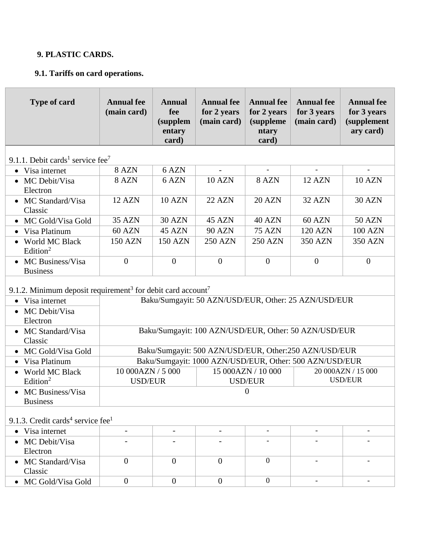## **9. PLASTIC CARDS.**

# **9.1. Tariffs on card operations.**

| <b>Type of card</b>                                                                 | <b>Annual fee</b><br>(main card)                                                                                    | <b>Annual</b><br>fee<br>(supplem<br>entary<br>card) | <b>Annual fee</b><br>for 2 years<br>(main card) | <b>Annual fee</b><br>for 2 years<br>(suppleme<br>ntary<br>card) | <b>Annual fee</b><br>for 3 years<br>(main card)         | <b>Annual fee</b><br>for 3 years<br><i>(supplement</i><br>ary card) |
|-------------------------------------------------------------------------------------|---------------------------------------------------------------------------------------------------------------------|-----------------------------------------------------|-------------------------------------------------|-----------------------------------------------------------------|---------------------------------------------------------|---------------------------------------------------------------------|
| 9.1.1. Debit cards <sup>1</sup> service fee <sup>7</sup>                            |                                                                                                                     |                                                     |                                                 |                                                                 |                                                         |                                                                     |
| Visa internet<br>$\bullet$                                                          | 8 AZN                                                                                                               | 6 AZN                                               | $\overline{\phantom{a}}$                        | $\overline{\phantom{a}}$                                        | $\blacksquare$                                          | $\blacksquare$                                                      |
| MC Debit/Visa<br>Electron                                                           | 8 AZN                                                                                                               | 6 AZN                                               | <b>10 AZN</b>                                   | 8 AZN                                                           | <b>12 AZN</b>                                           | <b>10 AZN</b>                                                       |
| MC Standard/Visa<br>Classic                                                         | 12 AZN                                                                                                              | <b>10 AZN</b>                                       | <b>22 AZN</b>                                   | <b>20 AZN</b>                                                   | 32 AZN                                                  | <b>30 AZN</b>                                                       |
| • MC Gold/Visa Gold                                                                 | <b>35 AZN</b>                                                                                                       | <b>30 AZN</b>                                       | 45 AZN                                          | 40 AZN                                                          | <b>60 AZN</b>                                           | <b>50 AZN</b>                                                       |
| • Visa Platinum                                                                     | 60 AZN                                                                                                              | 45 AZN                                              | <b>90 AZN</b>                                   | <b>75 AZN</b>                                                   | <b>120 AZN</b>                                          | <b>100 AZN</b>                                                      |
| World MC Black<br>Edition <sup>2</sup>                                              | <b>150 AZN</b>                                                                                                      | <b>150 AZN</b>                                      | <b>250 AZN</b>                                  | <b>250 AZN</b>                                                  | <b>350 AZN</b>                                          | <b>350 AZN</b>                                                      |
| MC Business/Visa<br>$\bullet$<br><b>Business</b>                                    | $\overline{0}$                                                                                                      | $\overline{0}$                                      | $\overline{0}$                                  | $\overline{0}$                                                  | $\overline{0}$                                          | $\overline{0}$                                                      |
| 9.1.2. Minimum deposit requirement <sup>3</sup> for debit card account <sup>7</sup> |                                                                                                                     |                                                     |                                                 |                                                                 |                                                         |                                                                     |
| Visa internet<br>$\bullet$                                                          | Baku/Sumgayit: 50 AZN/USD/EUR, Other: 25 AZN/USD/EUR                                                                |                                                     |                                                 |                                                                 |                                                         |                                                                     |
| MC Debit/Visa<br>Electron                                                           |                                                                                                                     |                                                     |                                                 |                                                                 |                                                         |                                                                     |
| MC Standard/Visa<br>$\bullet$<br>Classic                                            | Baku/Sumgayit: 100 AZN/USD/EUR, Other: 50 AZN/USD/EUR                                                               |                                                     |                                                 |                                                                 |                                                         |                                                                     |
| • MC Gold/Visa Gold                                                                 |                                                                                                                     |                                                     |                                                 |                                                                 | Baku/Sumgayit: 500 AZN/USD/EUR, Other:250 AZN/USD/EUR   |                                                                     |
| Visa Platinum                                                                       |                                                                                                                     |                                                     |                                                 |                                                                 | Baku/Sumgayit: 1000 AZN/USD/EUR, Other: 500 AZN/USD/EUR |                                                                     |
| World MC Black<br>Edition <sup>2</sup>                                              | 10 000AZN / 5 000<br>20 000AZN / 15 000<br>15 000AZN / 10 000<br><b>USD/EUR</b><br><b>USD/EUR</b><br><b>USD/EUR</b> |                                                     |                                                 |                                                                 |                                                         |                                                                     |
| • MC Business/Visa<br><b>Business</b>                                               | $\boldsymbol{0}$                                                                                                    |                                                     |                                                 |                                                                 |                                                         |                                                                     |
| 9.1.3. Credit cards <sup>4</sup> service fee <sup>1</sup>                           |                                                                                                                     |                                                     |                                                 |                                                                 |                                                         |                                                                     |
| • Visa internet                                                                     | $\overline{\phantom{a}}$                                                                                            | $\overline{\phantom{a}}$                            | -                                               | $\overline{\phantom{a}}$                                        | $\overline{a}$                                          |                                                                     |
| • MC Debit/Visa<br>Electron                                                         |                                                                                                                     |                                                     |                                                 |                                                                 |                                                         |                                                                     |
| MC Standard/Visa<br>Classic                                                         | $\overline{0}$                                                                                                      | $\boldsymbol{0}$                                    | $\boldsymbol{0}$                                | $\mathbf{0}$                                                    |                                                         |                                                                     |
| • MC Gold/Visa Gold                                                                 | $\boldsymbol{0}$                                                                                                    | $\boldsymbol{0}$                                    | $\boldsymbol{0}$                                | $\mathbf{0}$                                                    |                                                         |                                                                     |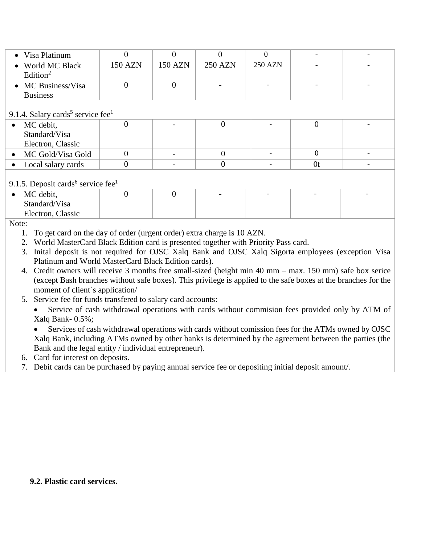| • Visa Platinum                                           |                |                |                |                |                |  |
|-----------------------------------------------------------|----------------|----------------|----------------|----------------|----------------|--|
| • World MC Black<br>Edition <sup>2</sup>                  | <b>150 AZN</b> | <b>150 AZN</b> | <b>250 AZN</b> | <b>250 AZN</b> |                |  |
| • MC Business/Visa                                        |                | 0              |                |                |                |  |
| <b>Business</b>                                           |                |                |                |                |                |  |
| 9.1.4. Salary cards <sup>5</sup> service fee <sup>1</sup> |                |                |                |                |                |  |
| MC debit,<br>$\bullet$                                    | $\Omega$       |                | $\Omega$       |                | 0              |  |
| Standard/Visa                                             |                |                |                |                |                |  |
| Electron, Classic                                         |                |                |                |                |                |  |
| • MC Gold/Visa Gold                                       |                |                | 0              |                | $\Omega$       |  |
| Local salary cards                                        |                |                |                |                | 0 <sup>t</sup> |  |

### 9.1.5. Deposit cards<sup>6</sup> service fee<sup>1</sup>

| $\bullet$ | MC debit,         |  | $\overline{\phantom{0}}$ | $\overline{\phantom{0}}$ | $\overline{\phantom{0}}$ |
|-----------|-------------------|--|--------------------------|--------------------------|--------------------------|
|           | Standard/Visa     |  |                          |                          |                          |
|           | Electron, Classic |  |                          |                          |                          |
|           |                   |  |                          |                          |                          |

Note:

1. To get card on the day of order (urgent order) extra charge is 10 AZN.

- 2. World MasterCard Black Edition card is presented together with Priority Pass card.
- 3. Inital deposit is not required for OJSC Xalq Bank and OJSC Xalq Sigorta employees (exception Visa Platinum and World MasterCard Black Edition cards).
- 4. Credit owners will receive 3 months free small-sized (height min 40 mm max. 150 mm) safe box serice (except Bash branches without safe boxes). This privilege is applied to the safe boxes at the branches for the moment of client`s application/
- 5. Service fee for funds transfered to salary card accounts:

Service of cash withdrawal operations with cards without commision fees provided only by ATM of Xalq Bank- 0.5%;

Services of cash withdrawal operations with cards without comission fees for the ATMs owned by OJSC Xalq Bank, including ATMs owned by other banks is determined by the agreement between the parties (the Bank and the legal entity / individual entrepreneur).

- 6. Card for interest on deposits.
- 7. Debit cards can be purchased by paying annual service fee or depositing initial deposit amount/.

#### **9.2. Plastic card services.**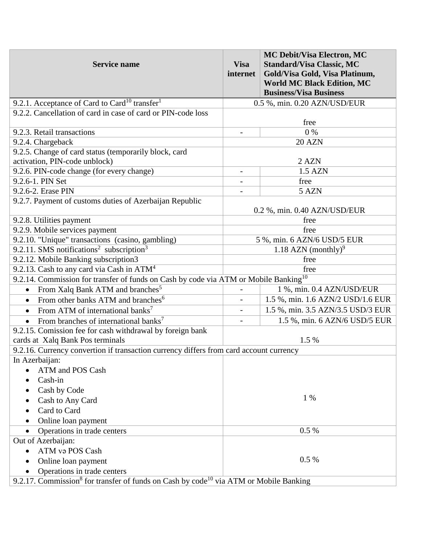| <b>Service name</b>                                                                                           | <b>Visa</b><br>internet     | <b>MC Debit/Visa Electron, MC</b><br><b>Standard/Visa Classic, MC</b><br>Gold/Visa Gold, Visa Platinum,<br><b>World MC Black Edition, MC</b><br><b>Business/Visa Business</b> |  |  |
|---------------------------------------------------------------------------------------------------------------|-----------------------------|-------------------------------------------------------------------------------------------------------------------------------------------------------------------------------|--|--|
| 9.2.1. Acceptance of Card to Card <sup>10</sup> transfer <sup>1</sup>                                         |                             | 0.5 %, min. 0.20 AZN/USD/EUR                                                                                                                                                  |  |  |
| 9.2.2. Cancellation of card in case of card or PIN-code loss                                                  |                             |                                                                                                                                                                               |  |  |
|                                                                                                               |                             | free                                                                                                                                                                          |  |  |
| 9.2.3. Retail transactions                                                                                    |                             | $0\%$                                                                                                                                                                         |  |  |
| 9.2.4. Chargeback                                                                                             |                             | 20 AZN                                                                                                                                                                        |  |  |
| 9.2.5. Change of card status (temporarily block, card                                                         |                             |                                                                                                                                                                               |  |  |
| activation, PIN-code unblock)                                                                                 |                             | 2 AZN                                                                                                                                                                         |  |  |
| 9.2.6. PIN-code change (for every change)                                                                     |                             | 1.5 AZN                                                                                                                                                                       |  |  |
| 9.2.6-1. PIN Set                                                                                              |                             | free                                                                                                                                                                          |  |  |
| 9.2.6-2. Erase PIN                                                                                            |                             | 5 AZN                                                                                                                                                                         |  |  |
| 9.2.7. Payment of customs duties of Azerbaijan Republic                                                       |                             | 0.2 %, min. 0.40 AZN/USD/EUR                                                                                                                                                  |  |  |
| 9.2.8. Utilities payment                                                                                      |                             | free                                                                                                                                                                          |  |  |
| 9.2.9. Mobile services payment                                                                                |                             | free                                                                                                                                                                          |  |  |
| 9.2.10. "Unique" transactions (casino, gambling)                                                              | 5 %, min. 6 AZN/6 USD/5 EUR |                                                                                                                                                                               |  |  |
| 9.2.11. SMS notifications <sup>2</sup> subscription <sup>3</sup>                                              |                             | 1.18 AZN (monthly) <sup>9</sup>                                                                                                                                               |  |  |
| 9.2.12. Mobile Banking subscription3                                                                          |                             | free                                                                                                                                                                          |  |  |
| 9.2.13. Cash to any card via Cash in $ATM4$                                                                   |                             | free                                                                                                                                                                          |  |  |
| 9.2.14. Commission for transfer of funds on Cash by code via ATM or Mobile Banking <sup>10</sup>              |                             |                                                                                                                                                                               |  |  |
| From Xalq Bank ATM and branches <sup>5</sup><br>$\bullet$                                                     |                             | 1 %, min. 0.4 AZN/USD/EUR                                                                                                                                                     |  |  |
| From other banks ATM and branches <sup>6</sup><br>$\bullet$                                                   | $\overline{\phantom{0}}$    | 1.5 %, min. 1.6 AZN/2 USD/1.6 EUR                                                                                                                                             |  |  |
| From ATM of international banks <sup>7</sup><br>$\bullet$                                                     | $\overline{\phantom{0}}$    | 1.5 %, min. 3.5 AZN/3.5 USD/3 EUR                                                                                                                                             |  |  |
| From branches of international banks <sup>7</sup><br>$\bullet$                                                |                             | 1.5 %, min. 6 AZN/6 USD/5 EUR                                                                                                                                                 |  |  |
| 9.2.15. Comission fee for cash withdrawal by foreign bank                                                     |                             |                                                                                                                                                                               |  |  |
| cards at Xalq Bank Pos terminals                                                                              |                             | 1.5 %                                                                                                                                                                         |  |  |
| 9.2.16. Currency convertion if transaction currency differs from card account currency                        |                             |                                                                                                                                                                               |  |  |
| In Azerbaijan:                                                                                                |                             |                                                                                                                                                                               |  |  |
| ATM and POS Cash                                                                                              |                             |                                                                                                                                                                               |  |  |
| Cash-in                                                                                                       |                             |                                                                                                                                                                               |  |  |
| Cash by Code                                                                                                  |                             |                                                                                                                                                                               |  |  |
| Cash to Any Card                                                                                              |                             | 1 %                                                                                                                                                                           |  |  |
| Card to Card                                                                                                  |                             |                                                                                                                                                                               |  |  |
| Online loan payment                                                                                           |                             |                                                                                                                                                                               |  |  |
| Operations in trade centers<br>$\bullet$                                                                      |                             | 0.5 %                                                                                                                                                                         |  |  |
| Out of Azerbaijan:                                                                                            |                             |                                                                                                                                                                               |  |  |
| ATM va POS Cash<br>$\bullet$                                                                                  |                             |                                                                                                                                                                               |  |  |
| Online loan payment                                                                                           |                             | 0.5 %                                                                                                                                                                         |  |  |
| Operations in trade centers                                                                                   |                             |                                                                                                                                                                               |  |  |
| 9.2.17. Commission <sup>8</sup> for transfer of funds on Cash by code <sup>10</sup> via ATM or Mobile Banking |                             |                                                                                                                                                                               |  |  |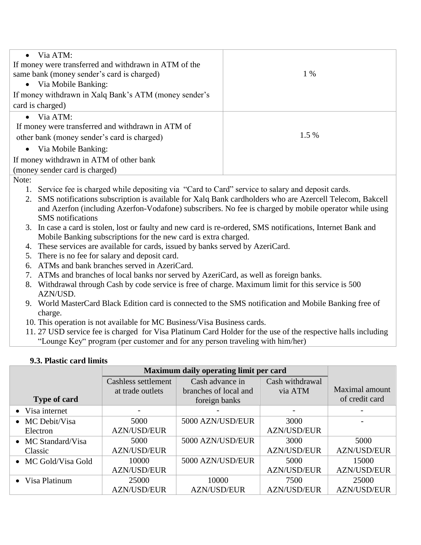| $\bullet$ Via ATM:                                    |       |
|-------------------------------------------------------|-------|
| If money were transferred and withdrawn in ATM of the |       |
| same bank (money sender's card is charged)            | 1 %   |
| • Via Mobile Banking:                                 |       |
| If money withdrawn in Xalq Bank's ATM (money sender's |       |
| card is charged)                                      |       |
| $\bullet$ Via ATM:                                    |       |
| If money were transferred and withdrawn in ATM of     |       |
| other bank (money sender's card is charged)           | 1.5 % |
| • Via Mobile Banking:                                 |       |
| If money withdrawn in ATM of other bank               |       |
| (money sender card is charged)                        |       |

Note:

- 1. Service fee is charged while depositing via "Card to Card" service to salary and deposit cards.
- 2. SMS notifications subscription is available for Xalq Bank cardholders who are Azercell Telecom, Bakcell and Azerfon (including Azerfon-Vodafone) subscribers. No fee is charged by mobile operator while using SMS notifications
- 3. In case a card is stolen, lost or faulty and new card is re-ordered, SMS notifications, Internet Bank and Mobile Banking subscriptions for the new card is extra charged.
- 4. These services are available for cards, issued by banks served by AzeriCard.
- 5. There is no fee for salary and deposit card.
- 6. ATMs and bank branches served in AzeriCard.
- 7. ATMs and branches of local banks nor served by AzeriCard, as well as foreign banks.
- 8. Withdrawal through Cash by code service is free of charge. Maximum limit for this service is 500 AZN/USD.
- 9. World MasterCard Black Edition card is connected to the SMS notification and Mobile Banking free of charge.
- 10. This operation is not available for MC Business/Visa Business cards.
- 11. 27 USD service fee is charged for Visa Platinum Card Holder for the use of the respective halls including "Lounge Key" program (per customer and for any person traveling with him/her)

## **9.3. Plastic card limits**

|                         | Maximum daily operating limit per card |                       |                    |                    |
|-------------------------|----------------------------------------|-----------------------|--------------------|--------------------|
|                         | Cashless settlement                    | Cash advance in       | Cash withdrawal    |                    |
|                         | at trade outlets                       | branches of local and | via ATM            | Maximal amount     |
| <b>Type of card</b>     |                                        | foreign banks         |                    | of credit card     |
| • Visa internet         |                                        |                       |                    |                    |
| $\bullet$ MC Debit/Visa | 5000                                   | 5000 AZN/USD/EUR      | 3000               |                    |
| Electron                | <b>AZN/USD/EUR</b>                     |                       | <b>AZN/USD/EUR</b> |                    |
| • MC Standard/Visa      | 5000                                   | 5000 AZN/USD/EUR      | 3000               | 5000               |
| Classic                 | <b>AZN/USD/EUR</b>                     |                       | <b>AZN/USD/EUR</b> | <b>AZN/USD/EUR</b> |
| • MC Gold/Visa Gold     | 10000                                  | 5000 AZN/USD/EUR      | 5000               | 15000              |
|                         | <b>AZN/USD/EUR</b>                     |                       | <b>AZN/USD/EUR</b> | <b>AZN/USD/EUR</b> |
| • Visa Platinum         | 25000                                  | 10000                 | 7500               | 25000              |
|                         | <b>AZN/USD/EUR</b>                     | <b>AZN/USD/EUR</b>    | <b>AZN/USD/EUR</b> | <b>AZN/USD/EUR</b> |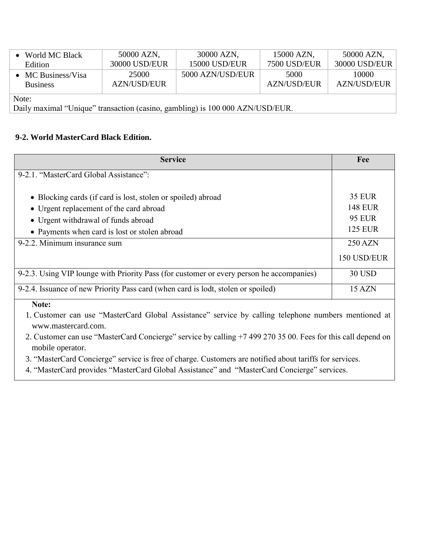| • World MC Black           | 50000 AZN,    | 30000 AZN,           | 15000 AZN,          | 50000 AZN,    |
|----------------------------|---------------|----------------------|---------------------|---------------|
| Edition                    | 30000 USD/EUR | <b>15000 USD/EUR</b> | <b>7500 USD/EUR</b> | 30000 USD/EUR |
| $\bullet$ MC Business/Visa | 25000         | 5000 AZN/USD/EUR     | 5000                | 10000         |
| <b>Business</b>            | AZN/USD/EUR   |                      | <b>AZN/USD/EUR</b>  | AZN/USD/EUR   |
| Note:                      |               |                      |                     |               |

Daily maximal "Unique" transaction (casino, gambling) is 100 000 AZN/USD/EUR.

### **9-2. World MasterCard Black Edition.**

| <b>Service</b>                                                                           | Fee            |
|------------------------------------------------------------------------------------------|----------------|
| 9-2.1. "MasterCard Global Assistance":                                                   |                |
|                                                                                          |                |
| • Blocking cards (if card is lost, stolen or spoiled) abroad                             | <b>35 EUR</b>  |
| • Urgent replacement of the card abroad                                                  | <b>148 EUR</b> |
| • Urgent withdrawal of funds abroad                                                      | <b>95 EUR</b>  |
| • Payments when card is lost or stolen abroad                                            | <b>125 EUR</b> |
| 9-2.2. Minimum insurance sum                                                             | 250 AZN        |
|                                                                                          | 150 USD/EUR    |
| 9-2.3. Using VIP lounge with Priority Pass (for customer or every person he accompanies) | <b>30 USD</b>  |
| 9-2.4. Issuance of new Priority Pass card (when card is lodt, stolen or spoiled)         | 15 AZN         |
| Note:                                                                                    |                |

1. Customer can use "MasterCard Global Assistance" service by calling telephone numbers mentioned at [www.mastercard.com.](http://www.mastercard.com/sea/consumer/emergency-services.html)

2. Customer can use "MasterCard Concierge" service by calling +7 499 270 35 00. Fees for this call depend on mobile operator.

3. "MasterCard Concierge" service is free of charge. Customers are notified about tariffs for services.

4. "MasterCard provides "MasterCard Global Assistance" and "MasterCard Concierge" services.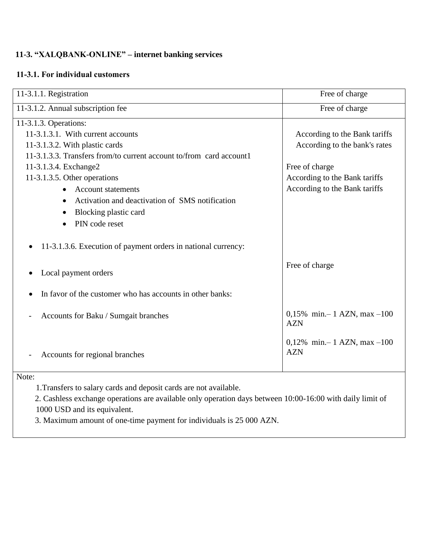## **11-3. "XALQBANK-ONLINE" – internet banking services**

### **11-3.1. For individual customers**

| 11-3.1.1. Registration                                              | Free of charge                             |
|---------------------------------------------------------------------|--------------------------------------------|
| 11-3.1.2. Annual subscription fee                                   | Free of charge                             |
| 11-3.1.3. Operations:                                               |                                            |
| 11-3.1.3.1. With current accounts                                   | According to the Bank tariffs              |
| 11-3.1.3.2. With plastic cards                                      | According to the bank's rates              |
| 11-3.1.3.3. Transfers from/to current account to/from card account1 |                                            |
| 11-3.1.3.4. Exchange2                                               | Free of charge                             |
| 11-3.1.3.5. Other operations                                        | According to the Bank tariffs              |
| <b>Account statements</b>                                           | According to the Bank tariffs              |
| Activation and deactivation of SMS notification                     |                                            |
| Blocking plastic card<br>$\bullet$                                  |                                            |
| PIN code reset                                                      |                                            |
| 11-3.1.3.6. Execution of payment orders in national currency:       |                                            |
| Local payment orders<br>$\bullet$                                   | Free of charge                             |
| In favor of the customer who has accounts in other banks:           |                                            |
| Accounts for Baku / Sumgait branches                                | 0,15% min.-1 AZN, max $-100$<br><b>AZN</b> |
| Accounts for regional branches                                      | 0,12% min.-1 AZN, max -100<br><b>AZN</b>   |

Note:

1.Transfers to salary cards and deposit cards are not available.

 2. Cashless exchange operations are available only operation days between 10:00-16:00 with daily limit of 1000 USD and its equivalent.

3. Maximum amount of one-time payment for individuals is 25 000 AZN.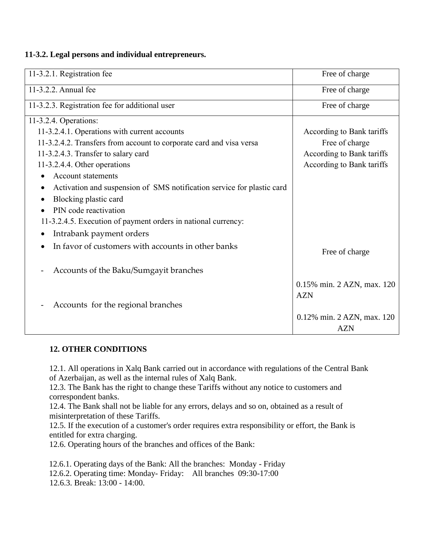### **11-3.2. Legal persons and individual entrepreneurs.**

| 11-3.2.1. Registration fee                                                  | Free of charge             |
|-----------------------------------------------------------------------------|----------------------------|
| 11-3.2.2. Annual fee                                                        | Free of charge             |
| 11-3.2.3. Registration fee for additional user                              | Free of charge             |
| 11-3.2.4. Operations:                                                       |                            |
| 11-3.2.4.1. Operations with current accounts                                | According to Bank tariffs  |
| 11-3.2.4.2. Transfers from account to corporate card and visa versa         | Free of charge             |
| 11-3.2.4.3. Transfer to salary card                                         | According to Bank tariffs  |
| 11-3.2.4.4. Other operations                                                | According to Bank tariffs  |
| <b>Account statements</b>                                                   |                            |
| Activation and suspension of SMS notification service for plastic card<br>٠ |                            |
| Blocking plastic card<br>$\bullet$                                          |                            |
| PIN code reactivation                                                       |                            |
| 11-3.2.4.5. Execution of payment orders in national currency:               |                            |
| Intrabank payment orders<br>$\bullet$                                       |                            |
| In favor of customers with accounts in other banks<br>$\bullet$             | Free of charge             |
| Accounts of the Baku/Sumgayit branches                                      |                            |
|                                                                             | 0.15% min. 2 AZN, max. 120 |
|                                                                             | <b>AZN</b>                 |
| Accounts for the regional branches                                          |                            |
|                                                                             | 0.12% min. 2 AZN, max. 120 |
|                                                                             | <b>AZN</b>                 |

### **12. OTHER CONDITIONS**

12.1. All operations in Xalq Bank carried out in accordance with regulations of the Central Bank of Azerbaijan, as well as the internal rules of Xalq Bank.

12.3. The Bank has the right to change these Tariffs without any notice to customers and correspondent banks.

12.4. The Bank shall not be liable for any errors, delays and so on, obtained as a result of misinterpretation of these Tariffs.

12.5. If the execution of a customer's order requires extra responsibility or effort, the Bank is entitled for extra charging.

12.6. Operating hours of the branches and offices of the Bank:

12.6.1. Operating days of the Bank: All the branches: Monday - Friday

12.6.2. Operating time: Monday- Friday: All branches 09:30-17:00

12.6.3. Break: 13:00 - 14:00.